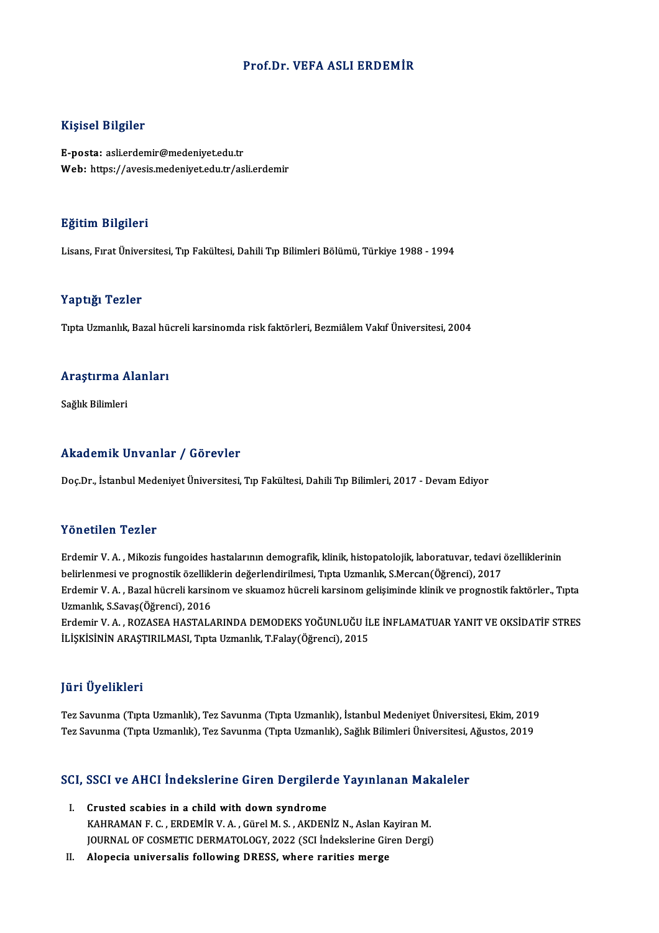### Prof.Dr. VEFA ASLI ERDEMİR

### Kişisel Bilgiler

E-posta: asli.erdemir@medeniyet.edu.tr Web: https://avesis.medeniyet.edu.tr/asli.erdemir

### Eğitim Bilgileri

Lisans, Fırat Üniversitesi, Tıp Fakültesi, Dahili Tıp Bilimleri Bölümü, Türkiye 1988 - 1994

### Yaptığı Tezler

Tıpta Uzmanlık, Bazal hücreli karsinomda risk faktörleri, Bezmiâlem Vakıf Üniversitesi, 2004

### rıpta ozmanlık, bazal nu<br>Araştırma Alanları <mark>Araştırma A</mark><br>Sağlık Bilimleri

## Akademik Unvanlar / Görevler

Doç.Dr., İstanbul Medeniyet Üniversitesi, Tıp Fakültesi, Dahili Tıp Bilimleri, 2017 - Devam Ediyor

### Yönetilen Tezler

Yönetilen Tezler<br>Erdemir V. A. , Mikozis fungoides hastalarının demografik, klinik, histopatolojik, laboratuvar, tedavi özelliklerinin<br>helirlenmesi ve nregnestik özelliklerin değerlendirilmesi "Tuta Urmanlık S Mersen(Öğren 1 oncencn-1 oncen<br>Erdemir V. A. , Mikozis fungoides hastalarının demografik, klinik, histopatolojik, laboratuvar, tedavi<br>belirlenmesi ve prognostik özelliklerin değerlendirilmesi, Tıpta Uzmanlık, S.Mercan(Öğrenci), 2017<br>Er Erdemir V. A. , Mikozis fungoides hastalarının demografik, klinik, histopatolojik, laboratuvar, tedavi özelliklerinin<br>belirlenmesi ve prognostik özelliklerin değerlendirilmesi, Tıpta Uzmanlık, S.Mercan(Öğrenci), 2017<br>Erdem belirlenmesi ve prognostik özelliklerin değerlendirilmesi, Tıpta Uzmanlık, S.Mercan(Öğrenci), 2017<br>Erdemir V. A. , Bazal hücreli karsinom ve skuamoz hücreli karsinom gelişiminde klinik ve prognostik faktörler., Tıpta<br>Uzman ErdemirV.A. ,ROZASEAHASTALARINDADEMODEKSYOĞUNLUĞUİLEİNFLAMATUARYANITVEOKSİDATİF STRES

İLİŞKİSİNİN ARAŞTIRILMASI, Tıpta Uzmanlık, T.Falay(Öğrenci), 2015

### JüriÜyelikleri

Tez Savunma (Tıpta Uzmanlık), Tez Savunma (Tıpta Uzmanlık), İstanbul Medeniyet Üniversitesi, Ekim, 2019 Tez Savunma (Tıpta Uzmanlık), Tez Savunma (Tıpta Uzmanlık), Sağlık Bilimleri Üniversitesi, Ağustos, 2019

# 1ez savunma (Tipta Ozmanlık), Tez savunma (Tipta Ozmanlık), Saglık Bilimleri Oniversitesi, *1*<br>SCI, SSCI ve AHCI İndekslerine Giren Dergilerde Yayınlanan Makaleler

- CI, SSCI ve AHCI İndekslerine Giren Dergilero<br>I. Crusted scabies in a child with down syndrome<br>KAHDAMANE C. ERDEMIR V.A. Gürel M.S. AKDEN I. Crusted scabies in a child with down syndrome<br>KAHRAMAN F. C., ERDEMİR V. A., Gürel M. S., AKDENİZ N., Aslan Kayiran M. JOURNAL OF COSMETIC DERMATOLOGY, 2022 (SCI İndekslerine Giren Dergi)
- II. Alopecia universalis following DRESS, where rarities merge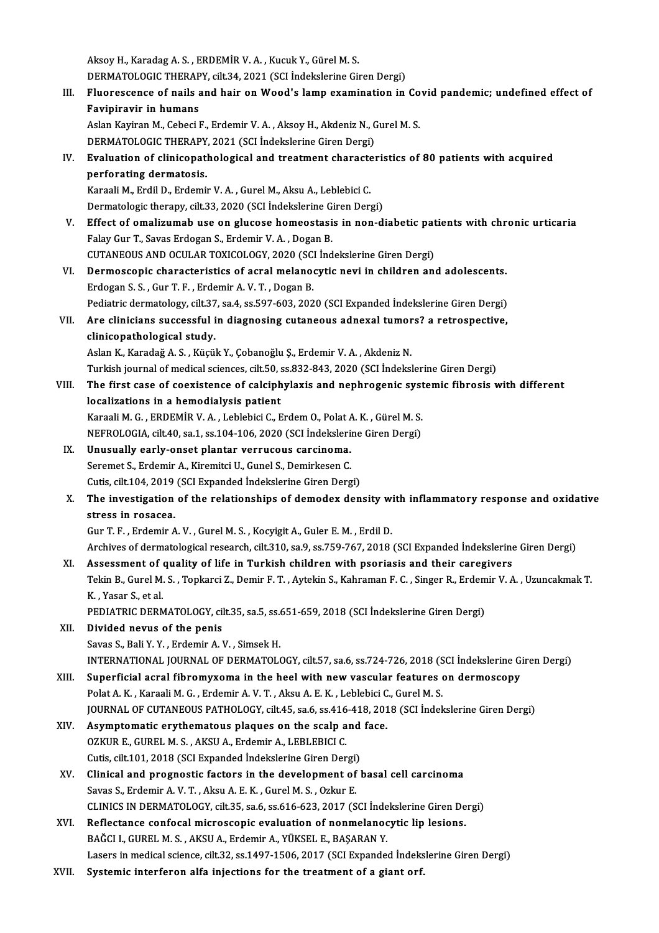AksoyH.,KaradagA.S. ,ERDEMİRV.A. ,KucukY.,GürelM.S. Aksoy H., Karadag A. S. , ERDEMİR V. A. , Kucuk Y., Gürel M. S.<br>DERMATOLOGIC THERAPY, cilt.34, 2021 (SCI İndekslerine Giren Dergi)<br>Fluanessanse of nails and bair an Waad's lamn examination in

Aksoy H., Karadag A. S. , ERDEMİR V. A. , Kucuk Y., Gürel M. S.<br>DERMATOLOGIC THERAPY, cilt.34, 2021 (SCI indekslerine Giren Dergi)<br>III. Fluorescence of nails and hair on Wood's lamp examination in Covid pandemic; undefi **DERMATOLOGIC THERAP**<br>Fluorescence of nails a<br>Favipiravir in humans<br>Aslan Kaviran M. Cobesi l Fluorescence of nails and hair on Wood's lamp examination in Co<br>Favipiravir in humans<br>Aslan Kayiran M., Cebeci F., Erdemir V. A. , Aksoy H., Akdeniz N., Gurel M. S.<br>DEPMATOLOCIC THERAPY 2021 (SCI Indekslering Ciron Dergi)

Favipiravir in humans<br>Aslan Kayiran M., Cebeci F., Erdemir V. A. , Aksoy H., Akdeniz N., Gurel M. S.<br>DERMATOLOGIC THERAPY, 2021 (SCI İndekslerine Giren Dergi)

Aslan Kayiran M., Cebeci F., Erdemir V. A. , Aksoy H., Akdeniz N., Gurel M. S.<br>DERMATOLOGIC THERAPY, 2021 (SCI İndekslerine Giren Dergi)<br>IV. Evaluation of clinicopathological and treatment characteristics of 80 patients wi **DERMATOLOGIC THERAPY<br>Evaluation of clinicopat<br>perforating dermatosis.**<br>Karaali M. Erdil D. Erdomi Evaluation of clinicopathological and treatment characte<br>perforating dermatosis.<br>Karaali M., Erdil D., Erdemir V. A. , Gurel M., Aksu A., Leblebici C.<br>Dermatologis thereny, silt 22, 2020 (SCL Indekslering Giren Deru perforating dermatosis.<br>Karaali M., Erdil D., Erdemir V. A. , Gurel M., Aksu A., Leblebici C.<br>Dermatologic therapy, cilt.33, 2020 (SCI İndekslerine Giren Dergi)<br>Effect of amelizumah use en glusese hameestasis in nan d

Karaali M., Erdil D., Erdemir V. A. , Gurel M., Aksu A., Leblebici C.<br>Dermatologic therapy, cilt.33, 2020 (SCI İndekslerine Giren Dergi)<br>V. Effect of omalizumab use on glucose homeostasis in non-diabetic patients with chro Dermatologic therapy, cilt.33, 2020 (SCI İndekslerine G.<br>Effect of omalizumab use on glucose homeostasi<br>Falay Gur T., Savas Erdogan S., Erdemir V.A., Dogan B.<br>CUTANEOUS AND OCULAR TOYICOLOCY 2020 (SCL İnd Effect of omalizumab use on glucose homeostasis in non-diabetic pat<br>Falay Gur T., Savas Erdogan S., Erdemir V. A. , Dogan B.<br>CUTANEOUS AND OCULAR TOXICOLOGY, 2020 (SCI İndekslerine Giren Dergi)<br>Dermossaanis sharesteristiss Falay Gur T., Savas Erdogan S., Erdemir V. A. , Dogan B.<br>CUTANEOUS AND OCULAR TOXICOLOGY, 2020 (SCI İndekslerine Giren Dergi)<br>VI. Dermoscopic characteristics of acral melanocytic nevi in children and adolescents.<br>Frdogan S

CUTANEOUS AND OCULAR TOXICOLOGY, 2020 (SCI<br>Dermoscopic characteristics of acral melanoe<br>Erdogan S. S., Gur T. F., Erdemir A. V. T., Dogan B.<br>Pediatric dermotelegy, silt 27, se 4, se 597, 602, 202 Dermoscopic characteristics of acral melanocytic nevi in children and adolescents.<br>Erdogan S. S. , Gur T. F. , Erdemir A. V. T. , Dogan B.<br>Pediatric dermatology, cilt.37, sa.4, ss.597-603, 2020 (SCI Expanded İndekslerine G Erdogan S. S., Gur T. F., Erdemir A. V. T., Dogan B.<br>Pediatric dermatology, cilt.37, sa.4, ss.597-603, 2020 (SCI Expanded Indekslerine Giren Dergi)<br>VII. Are clinicians successful in diagnosing cutaneous adnexal tumors? a r

### Pediatric dermatology, cilt.37<br>Are clinicians successful i<br>clinicopathological study. Are clinicians successful in diagnosing cutaneous adnexal tumor<br>clinicopathological study.<br>Aslan K., Karadağ A. S. , Küçük Y., Çobanoğlu Ş., Erdemir V. A. , Akdeniz N.<br>Turkish journal of modisal ssianses, silt 50, ss 822, clinicopathological study.<br>Aslan K., Karadağ A. S. , Küçük Y., Çobanoğlu Ş., Erdemir V. A. , Akdeniz N.<br>Turkish journal of medical sciences, cilt.50, ss.832-843, 2020 (SCI İndekslerine Giren Dergi)<br>The finat anno of goovis

Aslan K., Karadağ A. S. , Küçük Y., Çobanoğlu Ş., Erdemir V. A. , Akdeniz N.<br>Turkish journal of medical sciences, cilt.50, ss.832-843, 2020 (SCI İndekslerine Giren Dergi)<br>VIII. The first case of coexistence of calciphylaxi Turkish journal of medical sciences, cilt.50, s<br>The first case of coexistence of calciph<br>localizations in a hemodialysis patient<br>Karaali M.C., EPDEM<sup>ip V.A.</sup>, Loblabisi C. E The first case of coexistence of calciphylaxis and nephrogenic syst<br>localizations in a hemodialysis patient<br>Karaali M. G. , ERDEMİR V. A. , Leblebici C., Erdem O., Polat A. K. , Gürel M. S.<br>NEEPOLOCIA silt 40 sa 1 ss 104 1 localizations in a hemodialysis patient<br>Karaali M. G. , ERDEMİR V. A. , Leblebici C., Erdem O., Polat A. K. , Gürel M. S.<br>NEFROLOGIA, cilt.40, sa.1, ss.104-106, 2020 (SCI İndekslerine Giren Dergi)<br>Unusually early enest pla

Karaali M. G., ERDEMIR V. A., Leblebici C., Erdem O., Polat A<br>NEFROLOGIA, cilt.40, sa.1, ss.104-106, 2020 (SCI Indeksleri<br>IX. Unusually early-onset plantar verrucous carcinoma.<br>Seremet S. Erdemir A. Kiremitei II. Cunal S. NEFROLOGIA, cilt.40, sa.1, ss.104-106, 2020 (SCI Indekslerine Giren Dergi)<br>IX. Unusually early-onset plantar verrucous carcinoma.<br>Seremet S., Erdemir A., Kiremitci U., Gunel S., Demirkesen C. Unusually early-onset plantar verrucous carcinoma.<br>Seremet S., Erdemir A., Kiremitci U., Gunel S., Demirkesen C.<br>Cutis, cilt.104, 2019 (SCI Expanded İndekslerine Giren Dergi)<br>The investigation of the relationshine of demod

### X. The investigation of the relationships of demodex density with inflammatory response and oxidative Cutis, cilt.104, 2019<br>The investigation<br>stress in rosacea.

GurT.F. ,ErdemirA.V. ,GurelM.S. ,KocyigitA.,Guler E.M. ,ErdilD.

Archives of dermatological research, cilt.310, sa.9, ss.759-767, 2018 (SCI Expanded Indekslerine Giren Dergi)

Gur T. F., Erdemir A. V., Gurel M. S., Kocyigit A., Guler E. M., Erdil D.<br>Archives of dermatological research, cilt.310, sa.9, ss.759-767, 2018 (SCI Expanded Indekslerine<br>XI. Assessment of quality of life in Turkish childr

Archives of dermatological research, cilt.310, sa.9, ss.759-767, 2018 (SCI Expanded İndekslerine Giren Dergi)<br>Assessment of quality of life in Turkish children with psoriasis and their caregivers<br>Tekin B., Gurel M. S. , To Assessment of<br>Tekin B., Gurel M.<br>K. , Yasar S., et al.<br>PEDIATRIC DERA Tekin B., Gurel M. S. , Topkarci Z., Demir F. T. , Aytekin S., Kahraman F. C. , Singer R., Erdem<br>K. , Yasar S., et al.<br>PEDIATRIC DERMATOLOGY, cilt.35, sa.5, ss.651-659, 2018 (SCI İndekslerine Giren Dergi)<br>Divided nevye ef

PEDIATRIC DERMATOLOGY, cilt.35, sa.5, ss.651-659, 2018 (SCI İndekslerine Giren Dergi)

## K. , Yasar S., et al.<br>PEDIATRIC DERMATOLOGY, cilt.35, sa.5, ss.6<br>XII. Divided nevus of the penis<br>Savas S., Bali Y. Y. , Erdemir A. V. , Simsek H.

Divided nevus of the penis<br>Savas S., Bali Y. Y. , Erdemir A. V. , Simsek H.<br>INTERNATIONAL JOURNAL OF DERMATOLOGY, cilt.57, sa.6, ss.724-726, 2018 (SCI İndekslerine Giren Dergi)<br>Sunarficial asral fihromuyoma in the bool wit

Savas S., Bali Y. Y. , Erdemir A. V. , Simsek H.<br>INTERNATIONAL JOURNAL OF DERMATOLOGY, cilt.57, sa.6, ss.724-726, 2018 (SCI Indekslerine G.<br>XIII. Superficial acral fibromyxoma in the heel with new vascular features on derm INTERNATIONAL JOURNAL OF DERMATOLOGY, cilt.57, sa.6, ss.724-726, 2018 (S<br>Superficial acral fibromyxoma in the heel with new vascular features<br>Polat A. K. , Karaali M. G. , Erdemir A. V. T. , Aksu A. E. K. , Leblebici C., G XIII. Superficial acral fibromyxoma in the heel with new vascular features on dermoscopy<br>Polat A. K., Karaali M. G., Erdemir A. V. T., Aksu A. E. K., Leblebici C., Gurel M. S.<br>JOURNAL OF CUTANEOUS PATHOLOGY, cilt.45, sa.6, Polat A. K., Karaali M. G., Erdemir A. V. T., Aksu A. E. K., Leblebici C<br>JOURNAL OF CUTANEOUS PATHOLOGY, cilt.45, sa.6, ss.416-418, 201<br>XIV. Asymptomatic erythematous plaques on the scalp and face.<br>OZKUP E. CUPEL M. S., AK

- JOURNAL OF CUTANEOUS PATHOLOGY, cilt.45, sa.6, ss.416<br>Asymptomatic erythematous plaques on the scalp a<br>OZKUR E., GUREL M. S. , AKSU A., Erdemir A., LEBLEBICI C.<br>Cutie silt 101, 2019 (SCL Expanded Indekslering Circu Den Asymptomatic erythematous plaques on the scalp and<br>OZKUR E., GUREL M. S. , AKSU A., Erdemir A., LEBLEBICI C.<br>Cutis, cilt.101, 2018 (SCI Expanded Indekslerine Giren Dergi)<br>Clinical and prognestic factors in the development Cutis, cilt 101, 2018 (SCI Expanded Indekslerine Giren Dergi)
- OZKUR E., GUREL M. S., AKSU A., Erdemir A., LEBLEBICI C.<br>Cutis, cilt.101, 2018 (SCI Expanded Indekslerine Giren Dergi)<br>XV. Clinical and prognostic factors in the development of basal cell carcinoma<br>Savas S., Erdemir A. V. Clinical and prognostic factors in the development of basal cell carcinoma<br>Savas S., Erdemir A. V. T. , Aksu A. E. K. , Gurel M. S. , Ozkur E.<br>CLINICS IN DERMATOLOGY, cilt.35, sa.6, ss.616-623, 2017 (SCI İndekslerine Giren Savas S., Erdemir A. V. T., Aksu A. E. K., Gurel M. S., Ozkur E.<br>CLINICS IN DERMATOLOGY, cilt.35, sa.6, ss.616-623, 2017 (SCI Indekslerine Giren De<br>XVI. Reflectance confocal microscopic evaluation of nonmelanocytic lip les
- CLINICS IN DERMATOLOGY, cilt.35, sa.6, ss.616-623, 2017 (SCI inde<br>Reflectance confocal microscopic evaluation of nonmelanoc<br>BAĞCI I., GUREL M. S., AKSU A., Erdemir A., YÜKSEL E., BAŞARAN Y.<br>Lasars in madisəl ssisnas, silt XVI. Reflectance confocal microscopic evaluation of nonmelanocytic lip lesions.<br>BAĞCI I., GUREL M. S., AKSU A., Erdemir A., YÜKSEL E., BAŞARAN Y.<br>Lasers in medical science, cilt.32, ss.1497-1506, 2017 (SCI Expanded İndeksl
- XVII. Systemic interferon alfa injections for the treatment of a giant orf.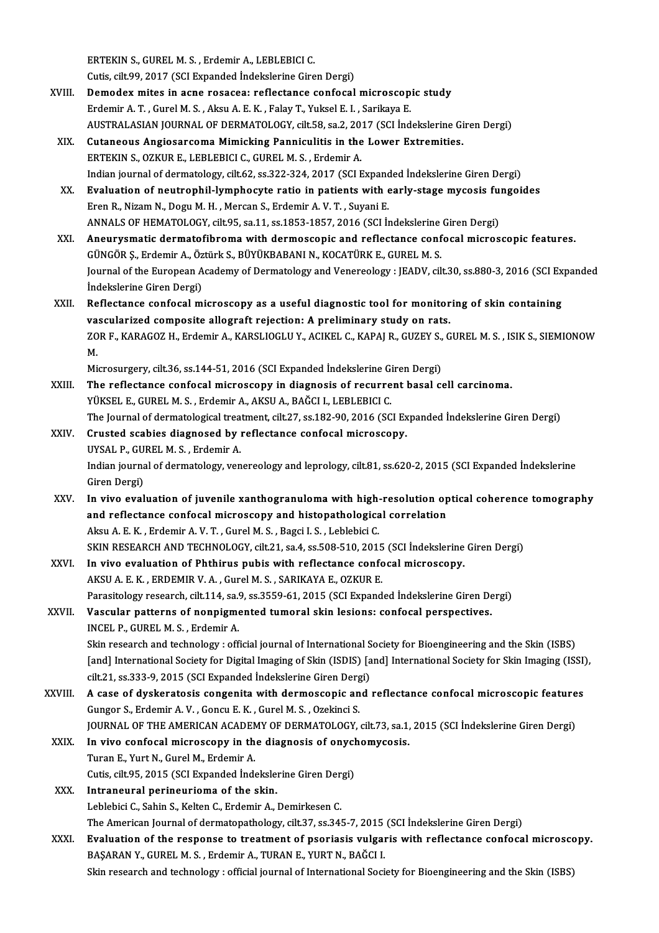ERTEKINS.,GURELM.S. ,ErdemirA.,LEBLEBICIC.

Cutis, cilt.99, 2017 (SCI Expanded İndekslerine Giren Dergi)

- ERTEKIN S., GUREL M. S., Erdemir A., LEBLEBICI C.<br>Cutis, cilt.99, 2017 (SCI Expanded Indekslerine Giren Dergi)<br>XVIII. Demodex mites in acne rosacea: reflectance confocal microscopic study<br>Endomir A. T. Curel M. S., Algu A. Cutis, cilt.99, 2017 (SCI Expanded Indekslerine Giren Dergi)<br>Demodex mites in acne rosacea: reflectance confocal microscop<br>Erdemir A. T. , Gurel M. S. , Aksu A. E. K. , Falay T., Yuksel E. I. , Sarikaya E.<br>AUSTRALASIAN JOU Erdemir A. T. , Gurel M. S. , Aksu A. E. K. , Falay T., Yuksel E. I. , Sarikaya E.<br>AUSTRALASIAN JOURNAL OF DERMATOLOGY, cilt.58, sa.2, 2017 (SCI İndekslerine Giren Dergi)
- XIX. Cutaneous AngiosarcomaMimicking Panniculitis in the Lower Extremities. ERTEKIN S., OZKUR E., LEBLEBICI C., GUREL M. S., Erdemir A. Indian journal of dermatology, cilt.62, ss.322-324, 2017 (SCI Expanded Indekslerine Giren Dergi) ERTEKIN S., OZKUR E., LEBLEBICI C., GUREL M. S., Erdemir A.<br>Indian journal of dermatology, cilt.62, ss.322-324, 2017 (SCI Expanded Indekslerine Giren Dergi)<br>XX. Evaluation of neutrophil-lymphocyte ratio in patients with ea
- Indian journal of dermatology, cilt.62, ss.322-324, 2017 (SCI Expand<br>Evaluation of neutrophil-lymphocyte ratio in patients with  $\epsilon$ <br>Eren R., Nizam N., Dogu M. H. , Mercan S., Erdemir A. V. T. , Suyani E.<br>ANNALS OF HEMATOL Evaluation of neutrophil-lymphocyte ratio in patients with early-stage mycosis furties.<br>Eren R., Nizam N., Dogu M. H. , Mercan S., Erdemir A. V. T. , Suyani E.<br>ANNALS OF HEMATOLOGY, cilt.95, sa.11, ss.1853-1857, 2016 (SCI Eren R., Nizam N., Dogu M. H. , Mercan S., Erdemir A. V. T. , Suyani E.<br>ANNALS OF HEMATOLOGY, cilt.95, sa.11, ss.1853-1857, 2016 (SCI İndekslerine Giren Dergi)<br>XXI. Aneurysmatic dermatofibroma with dermoscopic and refl
- GÜNGÖR Ş., Erdemir A., Öztürk S., BÜYÜKBABANI N., KOCATÜRK E., GUREL M. S. Aneurysmatic dermatofibroma with dermoscopic and reflectance confocal microscopic features.<br>GÜNGÖR Ş., Erdemir A., Öztürk S., BÜYÜKBABANI N., KOCATÜRK E., GUREL M. S.<br>Journal of the European Academy of Dermatology and Vene GÜNGÖR Ş., Erdemir A., Öz<br>Journal of the European A<br>İndekslerine Giren Dergi)<br>Poflestance sanfasal m Journal of the European Academy of Dermatology and Venereology : JEADV, cilt.30, ss.880-3, 2016 (SCI Ex<br>Indekslerine Giren Dergi)<br>XXII. Reflectance confocal microscopy as a useful diagnostic tool for monitoring of skin con indekslerine Giren Dergi)<br>Reflectance confocal microscopy as a useful diagnostic tool for monitoring of skin containing
- Reflectance confocal microscopy as a useful diagnostic tool for monitoring of skin containing<br>vascularized composite allograft rejection: A preliminary study on rats.<br>ZOR F., KARAGOZ H., Erdemir A., KARSLIOGLU Y., ACIKEL C vascularized composite allograft rejection: A preliminary study on rats.<br>ZOR F., KARAGOZ H., Erdemir A., KARSLIOGLU Y., ACIKEL C., KAPAJ R., GUZEY S., G<br>M. ZOR F., KARAGOZ H., Erdemir A., KARSLIOGLU Y., ACIKEL C., KAPAJ R., GUZEY S.,<br>M.<br>Microsurgery, cilt.36, ss.144-51, 2016 (SCI Expanded İndekslerine Giren Dergi)<br>The reflecteres confocal microssony in diagnosis of requyrent

Microsurgery, cilt.36, ss.144-51, 2016 (SCI Expanded Indekslerine Giren Dergi)

- XXIII. The reflectance confocal microscopy in diagnosis of recurrent basal cell carcinoma.<br>YÜKSEL E., GUREL M. S., Erdemir A., AKSU A., BAĞCI I., LEBLEBICI C. The reflectance confocal microscopy in diagnosis of recurrent basal cell carcinoma.<br>YÜKSEL E., GUREL M. S. , Erdemir A., AKSU A., BAĞCI I., LEBLEBICI C.<br>The Journal of dermatological treatment, cilt.27, ss.182-90, 2016 (SC
- XXIV. Crusted scabies diagnosed by reflectance confocal microscopy.<br>UYSAL P., GUREL M. S., Erdemir A. The Journal of dermatological trea<br>Crusted scabies diagnosed by i<br>UYSAL P., GUREL M. S. , Erdemir A.<br>Indian journal of dermatology, you Crusted scabies diagnosed by reflectance confocal microscopy.<br>UYSAL P., GUREL M. S. , Erdemir A.<br>Indian journal of dermatology, venereology and leprology, cilt.81, ss.620-2, 2015 (SCI Expanded İndekslerine<br>Ciron Dergi) UYSAL P., GU<br>Indian journa<br>Giren Dergi)<br>In vive evel
- XXV. In vivo evaluation of juvenile xanthogranuloma with high-resolution optical coherence tomography Giren Dergi)<br>In vivo evaluation of juvenile xanthogranuloma with high-resolution op<br>and reflectance confocal microscopy and histopathological correlation<br>Alsu A.E.K., Erdemir A.V.T., Gurel M.S., Peggi L.S., Leblebigi G In vivo evaluation of juvenile xanthogranuloma with high-<br>and reflectance confocal microscopy and histopathologica<br>Aksu A. E. K. , Erdemir A. V. T. , Gurel M. S. , Bagci I. S. , Leblebici C.<br>SVIN RESEARCH AND TECUNOLOCY si Aksu A. E. K. , Erdemir A. V. T. , Gurel M. S. , Bagci I. S. , Leblebici C.<br>SKIN RESEARCH AND TECHNOLOGY, cilt.21, sa.4, ss.508-510, 2015 (SCI İndekslerine Giren Dergi) Aksu A. E. K., Erdemir A. V. T., Gurel M. S., Bagci I. S., Leblebici C.<br>SKIN RESEARCH AND TECHNOLOGY, cilt.21, sa.4, ss.508-510, 2015 (SCI Indekslerine<br>XXVI. In vivo evaluation of Phthirus pubis with reflectance confocal m
- SKIN RESEARCH AND TECHNOLOGY, cilt.21, sa.4, ss.508-510, 2015<br>In vivo evaluation of Phthirus pubis with reflectance conformation of Phthirus pubis with reflectance conformation.<br>Benesitelew research sit 114, sa.9, sa. 3455 AKSU A. E. K. , ERDEMIR V. A. , Gurel M. S. , SARIKAYA E., OZKUR E.<br>Parasitology research, cilt.114, sa.9, ss.3559-61, 2015 (SCI Expanded İndekslerine Giren Dergi) AKSU A. E. K. , ERDEMIR V. A. , Gurel M. S. , SARIKAYA E., OZKUR E.<br>Parasitology research, cilt.114, sa.9, ss.3559-61, 2015 (SCI Expanded Indekslerine Giren De<br>XXVII. Vascular patterns of nonpigmented tumoral skin lesions:

### Parasitology research, cilt.114, sa.<br>Vascular patterns of nonpigme<br>INCEL P., GUREL M. S. , Erdemir A. INCEL P., GUREL M. S. , Erdemir A.<br>Skin research and technology : official journal of International Society for Bioengineering and the Skin (ISBS) INCEL P., GUREL M. S. , Erdemir A.<br>Skin research and technology : official journal of International Society for Bioengineering and the Skin (ISBS)<br>[and] International Society for Digital Imaging of Skin (ISDIS) [and] Inter Skin research and technology : official journal of International S<br>[and] International Society for Digital Imaging of Skin (ISDIS) [a<br>cilt.21, ss.333-9, 2015 (SCI Expanded İndekslerine Giren Dergi)<br>A sase of dyskoratesis s

- [and] International Society for Digital Imaging of Skin (ISDIS) [and] International Society for Skin Imaging (ISSI)<br>cilt.21, ss.333-9, 2015 (SCI Expanded Indekslerine Giren Dergi)<br>XXVIII. A case of dyskeratosis congenita w cilt.21, ss.333-9, 2015 (SCI Expanded Indekslerine Giren Dergi)<br>A case of dyskeratosis congenita with dermoscopic and<br>Gungor S., Erdemir A. V. , Goncu E. K. , Gurel M. S. , Ozekinci S. A case of dyskeratosis congenita with dermoscopic and reflectance confocal microscopic features Gungor S., Erdemir A. V., Goncu E. K., Gurel M. S., Ozekinci S.<br>JOURNAL OF THE AMERICAN ACADEMY OF DERMATOLOGY, cilt.73, sa.1,<br>XXIX. In vivo confocal microscopy in the diagnosis of onychomycosis.<br>Turan E. Vurt N. Gurel M.
- JOURNAL OF THE AMERICAN ACADEMY OF DERMATOLOGY, cilt.73, sa.1, 2015 (SCI İndekslerine Giren Dergi)<br>In vivo confocal microscopy in the diagnosis of onychomycosis.<br>Turan E., Yurt N., Gurel M., Erdemir A.<br>Cutis. cilt.95. 2015 In vivo confocal microscopy in the diagnosis of onych<br>Turan E., Yurt N., Gurel M., Erdemir A.<br>Cutis, cilt.95, 2015 (SCI Expanded İndekslerine Giren Dergi)<br>Intranoural perinouriama of the akin

### XXX. Intraneural perineurioma of the skin. Leblebici C., Sahin S., Kelten C., Erdemir A., Demirkesen C. I<mark>ntraneural perineurioma of the skin.</mark><br>Leblebici C., Sahin S., Kelten C., Erdemir A., Demirkesen C.<br>The American Journal of dermatopathology, cilt.37, ss.345-7, 2015 (SCI İndekslerine Giren Dergi)<br>Fyalustion of the respon

XXXI. Evaluation of the response to treatment of psoriasis vulgaris with reflectance confocal microscopy.<br>BAŞARAN Y., GUREL M. S., Erdemir A., TURAN E., YURT N., BAĞCI I. The American Journal of dermatopathology, cilt.37, ss.345-7, 2015<br>Evaluation of the response to treatment of psoriasis vulgar<br>BAŞARAN Y., GUREL M. S. , Erdemir A., TURAN E., YURT N., BAĞCI I.<br>Skip ressarsh and teshnology : Skin research and technology : official journal of International Society for Bioengineering and the Skin (ISBS)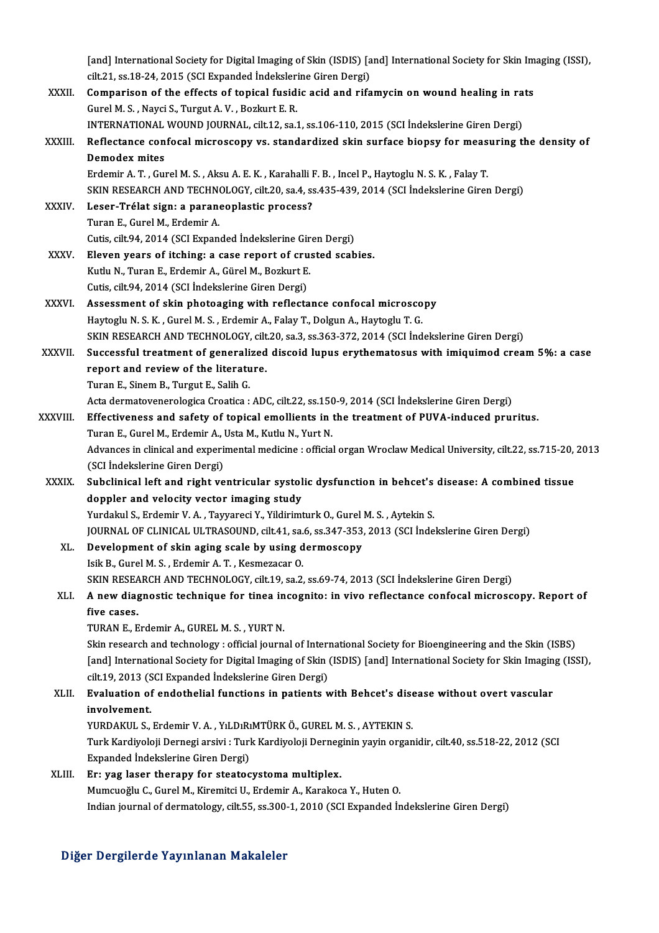[and] International Society for Digital Imaging of Skin (ISDIS) [and] International Society for Skin Imaging (ISSI),<br>sit 21, ss 18,24,2015 (SSI Expanded Indekslaving Giran Devai) [and] International Society for Digital Imaging of Skin (ISDIS) [a<br>cilt.21, ss.18-24, 2015 (SCI Expanded İndekslerine Giren Dergi)<br>Companison of the offects of tonisel fusidis esid and nife [and] International Society for Digital Imaging of Skin (ISDIS) [and] International Society for Skin Im<br>cilt.21, ss.18-24, 2015 (SCI Expanded Indekslerine Giren Dergi)<br>XXXII. Comparison of the effects of topical fusidic ac cilt.21, ss.18-24, 2015 (SCI Expanded Indekslerine Giren Dergi)<br>Comparison of the effects of topical fusidic acid and rifamycin on wound healing in rats<br>Gurel M. S. , Nayci S., Turgut A. V. , Bozkurt E. R. Comparison of the effects of topical fusidic acid and rifamycin on wound healing in ra<br>Gurel M. S., Nayci S., Turgut A. V. , Bozkurt E. R.<br>INTERNATIONAL WOUND JOURNAL, cilt.12, sa.1, ss.106-110, 2015 (SCI İndekslerine Gire Gurel M. S. , Nayci S., Turgut A. V. , Bozkurt E. R.<br>INTERNATIONAL WOUND JOURNAL, cilt12, sa.1, ss.106-110, 2015 (SCI Indekslerine Giren Dergi)<br>XXXIII. Reflectance confocal microscopy vs. standardized skin surface biop INTERNATIONAL<br>Reflectance con<br>Demodex mites<br>Erdomir A T. Cur Reflectance confocal microscopy vs. standardized skin surface biopsy for meas<br>Demodex mites<br>Erdemir A. T. , Gurel M. S. , Aksu A. E. K. , Karahalli F. B. , Incel P., Haytoglu N. S. K. , Falay T.<br>SKIN RESEARCH AND TECHNOLOC Demodex mites<br>Erdemir A. T. , Gurel M. S. , Aksu A. E. K. , Karahalli F. B. , Incel P., Haytoglu N. S. K. , Falay T.<br>SKIN RESEARCH AND TECHNOLOGY, cilt.20, sa.4, ss.435-439, 2014 (SCI İndekslerine Giren Dergi)<br>Leser Trélat Erdemir A. T. , Gurel M. S. , Aksu A. E. K. , Karahalli F. B. , Incel P., Haytoglu N. S. K. , Falay T.<br>SKIN RESEARCH AND TECHNOLOGY, cilt.20, sa.4, ss.435-439, 2014 (SCI İndekslerine Girer<br>XXXIV. Leser-Trélat sign: a p SKIN RESEARCH AND TECHN<br>Leser-Trélat sign: a paran<br>Turan E., Gurel M., Erdemir A.<br>Cutie silt 94, 2014 (SCL Expan Leser-Trélat sign: a paraneoplastic process?<br>Turan E., Gurel M., Erdemir A.<br>Cutis, cilt.94, 2014 (SCI Expanded İndekslerine Giren Dergi)<br>Flavan vears of itabing: a sess report of suusted sesb XXXV. Eleven years of itching: a case report of crusted scabies.<br>Kutlu N., Turan E., Erdemir A., Gürel M., Bozkurt E. Cutis, cilt.94, 2014 (SCI Expanded İndekslerine Gir<br>Eleven years of itching: a case report of cru:<br>Kutlu N., Turan E., Erdemir A., Gürel M., Bozkurt E.<br>Cutie silt 94, 2014 (SCI İndekslerine Ciren Dersi) Cutis, cilt.94, 2014 (SCI İndekslerine Giren Dergi) Kutlu N., Turan E., Erdemir A., Gürel M., Bozkurt E.<br>Cutis, cilt.94, 2014 (SCI İndekslerine Giren Dergi)<br>XXXVI. Assessment of skin photoaging with reflectance confocal microscopy<br>Hautaglu N.S. K., Curel M.S., Erdemir A. Fa Cutis, cilt.94, 2014 (SCI İndekslerine Giren Dergi)<br>Assessment of skin photoaging with reflectance confocal microsco<br>Haytoglu N. S. K. , Gurel M. S. , Erdemir A., Falay T., Dolgun A., Haytoglu T. G.<br>SKIN RESEARCH AND TECHN Haytoglu N. S. K. , Gurel M. S. , Erdemir A., Falay T., Dolgun A., Haytoglu T. G.<br>SKIN RESEARCH AND TECHNOLOGY, cilt.20, sa.3, ss.363-372, 2014 (SCI İndekslerine Giren Dergi) Haytoglu N. S. K. , Gurel M. S. , Erdemir A., Falay T., Dolgun A., Haytoglu T. G.<br>SKIN RESEARCH AND TECHNOLOGY, cilt.20, sa.3, ss.363-372, 2014 (SCI İndekslerine Giren Dergi)<br>XXXVII. Successful treatment of generalized dis SKIN RESEARCH AND TECHNOLOGY, cilt<br>Successful treatment of generalized<br>report and review of the literature.<br>Turor E. Sinom B. Turgut E. Solib C. Successful treatment of generali<br>report and review of the literatu<br>Turan E., Sinem B., Turgut E., Salih G.<br>Asta dermatevenerelegies Creatica L report and review of the literature.<br>Turan E., Sinem B., Turgut E., Salih G.<br>Acta dermatovenerologica Croatica : ADC, cilt.22, ss.150-9, 2014 (SCI İndekslerine Giren Dergi) Turan E., Sinem B., Turgut E., Salih G.<br>Acta dermatovenerologica Croatica : ADC, cilt.22, ss.150-9, 2014 (SCI İndekslerine Giren Dergi)<br>XXXVIII. Effectiveness and safety of topical emollients in the treatment of PUVA-induc Acta dermatovenerologica Croatica : ADC, cilt.22, ss.150<br>Effectiveness and safety of topical emollients in<br>Turan E., Gurel M., Erdemir A., Usta M., Kutlu N., Yurt N.<br>Advances in clinical and evnorimental medicine : officia Advances in clinical and experimental medicine : official organ Wroclaw Medical University, cilt.22, ss.715-20, 2013<br>(SCI İndekslerine Giren Dergi) Turan E., Gurel M., Erdemir A., Usta M., Kutlu N., Yurt N. Advances in clinical and experimental medicine : official organ Wroclaw Medical University, cilt.22, ss.715-20,<br>(SCI İndekslerine Giren Dergi)<br>XXXIX. Subclinical left and right ventricular systolic dysfunction in behcet's (SCI İndekslerine Giren Dergi)<br>Subclinical left and right ventricular systol<br>doppler and velocity vector imaging study<br>Vurdalul S. Erdomin V. A. Touvaresi V. Vildirimt Subclinical left and right ventricular systolic dysfunction in behcet's<br>doppler and velocity vector imaging study<br>Yurdakul S., Erdemir V. A. , Tayyareci Y., Yildirimturk O., Gurel M. S. , Aytekin S.<br>JOUPMAL OF CLINICAL JU doppler and velocity vector imaging study<br>Yurdakul S., Erdemir V. A. , Tayyareci Y., Yildirimturk O., Gurel M. S. , Aytekin S.<br>JOURNAL OF CLINICAL ULTRASOUND, cilt.41, sa.6, ss.347-353, 2013 (SCI İndekslerine Giren Dergi)<br> Yurdakul S., Erdemir V. A. , Tayyareci Y., Yildirimturk O., Gurel M. S. , Aytekin S.<br>JOURNAL OF CLINICAL ULTRASOUND, cilt.41, sa.6, ss.347-353, 2013 (SCI Inde<br>XL. Development of skin aging scale by using dermoscopy<br>Isik B. IOURNAL OF CLINICAL ULTRASOUND, cilt.41, sa.<br>Development of skin aging scale by using d<br>Isik B., Gurel M. S. , Erdemir A. T. , Kesmezacar O.<br>SKIN RESEARCH AND TECHNOLOCY, silt 19, ss 3 Development of skin aging scale by using dermoscopy<br>Isik B., Gurel M. S. , Erdemir A. T. , Kesmezacar O.<br>SKIN RESEARCH AND TECHNOLOGY, cilt.19, sa.2, ss.69-74, 2013 (SCI İndekslerine Giren Dergi)<br>A now diagnostis technique Isik B., Gurel M. S. , Erdemir A. T. , Kesmezacar O.<br>SKIN RESEARCH AND TECHNOLOGY, cilt.19, sa.2, ss.69-74, 2013 (SCI İndekslerine Giren Dergi)<br>XLI. A new diagnostic technique for tinea incognito: in vivo reflectance c SKIN RESEA<br>**A new diag<br>five cases.**<br>TIDANE E A new diagnostic technique for tinea in<br>five cases.<br>TURAN E., Erdemir A., GUREL M. S. , YURT N.<br>Skip researsh and technology : official journs five cases.<br>TURAN E., Erdemir A., GUREL M. S. , YURT N.<br>Skin research and technology : official journal of International Society for Bioengineering and the Skin (ISBS) TURAN E., Erdemir A., GUREL M. S. , YURT N.<br>Skin research and technology : official journal of International Society for Bioengineering and the Skin (ISBS)<br>[and] International Society for Digital Imaging of Skin (ISDIS) [a Skin research and technology : official journal of International Society for Digital Imaging of Skin (<br>cilt.19, 2013 (SCI Expanded İndekslerine Giren Dergi)<br>Evaluation of andathelial functions in nationts v [and] International Society for Digital Imaging of Skin (ISDIS) [and] International Society for Skin Imagin<br>cilt.19, 2013 (SCI Expanded Indekslerine Giren Dergi)<br>XLII. Evaluation of endothelial functions in patients with B cilt.19, 2013 (S<br><mark>Evaluation of</mark><br>involvement.<br><sup>VUDDAVULS</sub></sup> Evaluation of endothelial functions in patients with Behcet's dise<br>involvement.<br>YURDAKUL S., Erdemir V. A. , YıLDıRıMTÜRK Ö., GUREL M. S. , AYTEKIN S.<br>Turk Kardiveleji Dernesi arsiyi : Turk Kardiveleji Dernesinin yayın ars involvement.<br>YURDAKUL S., Erdemir V. A. , YıLDıRıMTÜRK Ö., GUREL M. S. , AYTEKIN S.<br>Turk Kardiyoloji Dernegi arsivi : Turk Kardiyoloji Derneginin yayin organidir, cilt.40, ss.518-22, 2012 (SCI<br>Evnanded İndelselerine Ciren YURDAKUL S., Erdemir V. A. , YıLDıRı<br>Turk Kardiyoloji Dernegi arsivi : Turl<br>Expanded İndekslerine Giren Dergi)<br>En, yag lasar thanany far staatas Turk Kardiyoloji Dernegi arsivi : Turk Kardiyoloji Derneg<br>Expanded İndekslerine Giren Dergi)<br>XLIII. Er: yag laser therapy for steatocystoma multiplex.<br>Mumgueğlu C. Gurel M. Kiromitei II. Erdemir A. Karakas Expanded İndekslerine Giren Dergi)<br>Er: yag laser therapy for steatocystoma multiplex.<br>Mumcuoğlu C., Gurel M., Kiremitci U., Erdemir A., Karakoca Y., Huten O. Indian journal of dermatology, cilt.55, ss.300-1, 2010 (SCI Expanded Indekslerine Giren Dergi)

### Diğer Dergilerde Yayınlanan Makaleler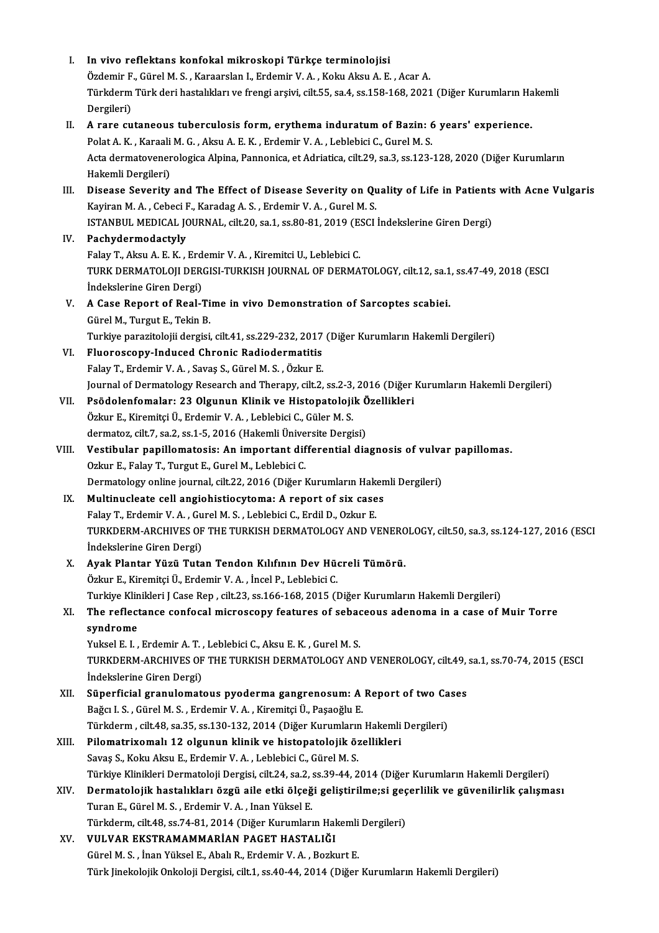| L     | In vivo reflektans konfokal mikroskopi Türkçe terminolojisi                                                                       |
|-------|-----------------------------------------------------------------------------------------------------------------------------------|
|       | Özdemir F., Gürel M. S., Karaarslan I., Erdemir V. A., Koku Aksu A. E., Acar A.                                                   |
|       | Türkderm Türk deri hastalıkları ve frengi arşivi, cilt.55, sa.4, ss.158-168, 2021 (Diğer Kurumların Hakemli                       |
|       | Dergileri)                                                                                                                        |
| Н.    | A rare cutaneous tuberculosis form, erythema induratum of Bazin: 6 years' experience.                                             |
|       | Polat A. K., Karaali M. G., Aksu A. E. K., Erdemir V. A., Leblebici C., Gurel M. S.                                               |
|       | Acta dermatovenerologica Alpina, Pannonica, et Adriatica, cilt.29, sa.3, ss.123-128, 2020 (Diğer Kurumların<br>Hakemli Dergileri) |
| III.  | Disease Severity and The Effect of Disease Severity on Quality of Life in Patients with Acne Vulgaris                             |
|       | Kayiran M. A., Cebeci F., Karadag A. S., Erdemir V. A., Gurel M. S.                                                               |
|       | ISTANBUL MEDICAL JOURNAL, cilt.20, sa.1, ss.80-81, 2019 (ESCI Indekslerine Giren Dergi)                                           |
| IV.   | Pachydermodactyly                                                                                                                 |
|       | Falay T., Aksu A. E. K., Erdemir V. A., Kiremitci U., Leblebici C.                                                                |
|       | TURK DERMATOLOJI DERGISI-TURKISH JOURNAL OF DERMATOLOGY, cilt.12, sa.1, ss.47-49, 2018 (ESCI                                      |
|       | İndekslerine Giren Dergi)                                                                                                         |
| V.    | A Case Report of Real-Time in vivo Demonstration of Sarcoptes scabiei.                                                            |
|       | Gürel M., Turgut E., Tekin B.                                                                                                     |
|       | Turkiye parazitolojii dergisi, cilt.41, ss.229-232, 2017 (Diğer Kurumların Hakemli Dergileri)                                     |
| VI.   | Fluoroscopy-Induced Chronic Radiodermatitis                                                                                       |
|       | Falay T., Erdemir V. A., Savaş S., Gürel M. S., Özkur E.                                                                          |
|       | Journal of Dermatology Research and Therapy, cilt.2, ss.2-3, 2016 (Diğer Kurumların Hakemli Dergileri)                            |
| VII.  | Psödolenfomalar: 23 Olgunun Klinik ve Histopatolojik Özellikleri                                                                  |
|       | Özkur E., Kiremitçi Ü., Erdemir V. A., Leblebici C., Güler M. S.                                                                  |
|       | dermatoz, cilt 7, sa.2, ss.1-5, 2016 (Hakemli Üniversite Dergisi)                                                                 |
| VIII. | Vestibular papillomatosis: An important differential diagnosis of vulvar papillomas.                                              |
|       | Ozkur E., Falay T., Turgut E., Gurel M., Leblebici C.                                                                             |
|       | Dermatology online journal, cilt.22, 2016 (Diğer Kurumların Hakemli Dergileri)                                                    |
| IX.   | Multinucleate cell angiohistiocytoma: A report of six cases                                                                       |
|       | Falay T., Erdemir V. A., Gurel M. S., Leblebici C., Erdil D., Ozkur E.                                                            |
|       | TURKDERM-ARCHIVES OF THE TURKISH DERMATOLOGY AND VENEROLOGY, cilt.50, sa.3, ss.124-127, 2016 (ESCI                                |
|       | İndekslerine Giren Dergi)                                                                                                         |
| X.    | Ayak Plantar Yüzü Tutan Tendon Kılıfının Dev Hücreli Tümörü.                                                                      |
|       | Özkur E., Kiremitçi Ü., Erdemir V. A., İncel P., Leblebici C.                                                                     |
|       | Turkiye Klinikleri J Case Rep, cilt.23, ss.166-168, 2015 (Diğer Kurumların Hakemli Dergileri)                                     |
| XI.   | The reflectance confocal microscopy features of sebaceous adenoma in a case of Muir Torre                                         |
|       | syndrome                                                                                                                          |
|       | Yuksel E. I., Erdemir A. T., Leblebici C., Aksu E. K., Gurel M. S.                                                                |
|       | TURKDERM-ARCHIVES OF THE TURKISH DERMATOLOGY AND VENEROLOGY, cilt.49, sa.1, ss.70-74, 2015 (ESCI                                  |
|       | İndekslerine Giren Dergi)                                                                                                         |
| XII.  | Süperficial granulomatous pyoderma gangrenosum: A Report of two Cases                                                             |
|       | Bağcı I. S., Gürel M. S., Erdemir V. A., Kiremitçi Ü., Paşaoğlu E.                                                                |
|       | Türkderm, cilt.48, sa.35, ss.130-132, 2014 (Diğer Kurumların Hakemli Dergileri)                                                   |
| XIII. | Pilomatrixomalı 12 olgunun klinik ve histopatolojik özellikleri                                                                   |
|       | Savaş S., Koku Aksu E., Erdemir V. A., Leblebici C., Gürel M. S.                                                                  |
|       | Türkiye Klinikleri Dermatoloji Dergisi, cilt.24, sa.2, ss.39-44, 2014 (Diğer Kurumların Hakemli Dergileri)                        |
| XIV.  | Dermatolojik hastalıkları özgü aile etki ölçeği geliştirilme;si geçerlilik ve güvenilirlik çalışması                              |
|       | Turan E., Gürel M. S., Erdemir V. A., Inan Yüksel E.                                                                              |
|       | Türkderm, cilt.48, ss.74-81, 2014 (Diğer Kurumların Hakemli Dergileri)                                                            |
| XV.   | VULVAR EKSTRAMAMMARİAN PAGET HASTALIĞI                                                                                            |
|       | Gürel M. S., İnan Yüksel E., Abalı R., Erdemir V. A., Bozkurt E.                                                                  |
|       | Türk Jinekolojik Onkoloji Dergisi, cilt.1, ss.40-44, 2014 (Diğer Kurumların Hakemli Dergileri)                                    |
|       |                                                                                                                                   |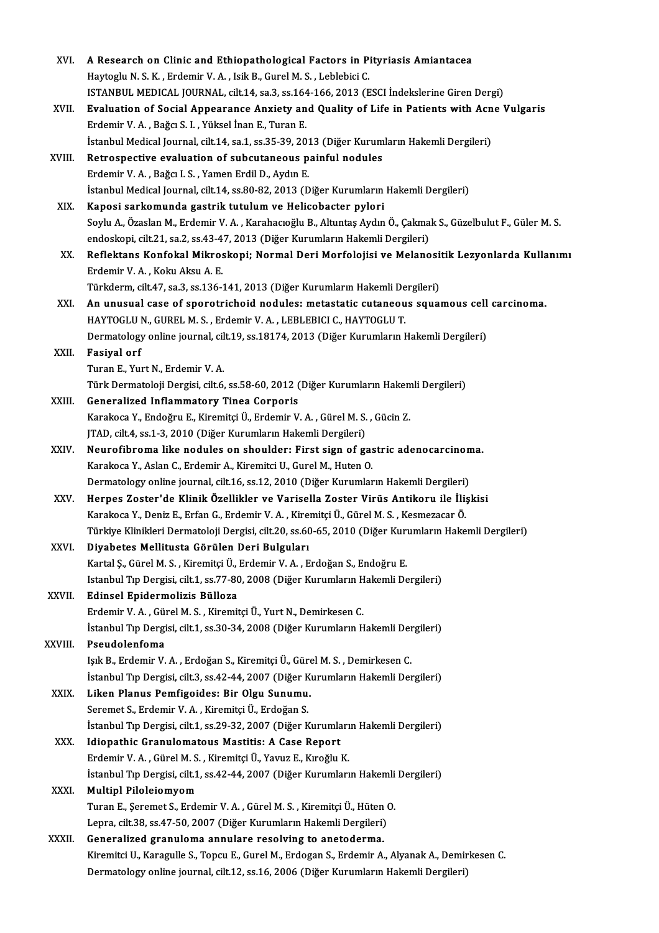| XVI.    | A Research on Clinic and Ethiopathological Factors in Pityriasis Amiantacea                                    |
|---------|----------------------------------------------------------------------------------------------------------------|
|         | Haytoglu N. S. K., Erdemir V. A., Isik B., Gurel M. S., Leblebici C.                                           |
|         | ISTANBUL MEDICAL JOURNAL, cilt.14, sa.3, ss.164-166, 2013 (ESCI Indekslerine Giren Dergi)                      |
| XVII.   | Evaluation of Social Appearance Anxiety and Quality of Life in Patients with Acne Vulgaris                     |
|         | Erdemir V. A., Bağcı S. I., Yüksel İnan E., Turan E.                                                           |
|         | İstanbul Medical Journal, cilt.14, sa.1, ss.35-39, 2013 (Diğer Kurumların Hakemli Dergileri)                   |
| XVIII.  | Retrospective evaluation of subcutaneous painful nodules                                                       |
|         | Erdemir V. A., Bağcı I. S., Yamen Erdil D., Aydın E.                                                           |
|         | İstanbul Medical Journal, cilt.14, ss.80-82, 2013 (Diğer Kurumların Hakemli Dergileri)                         |
|         | Kaposi sarkomunda gastrik tutulum ve Helicobacter pylori                                                       |
| XIX.    | Soylu A., Özaslan M., Erdemir V. A., Karahacıoğlu B., Altuntaş Aydın Ö., Çakmak S., Güzelbulut F., Güler M. S. |
|         | endoskopi, cilt.21, sa.2, ss.43-47, 2013 (Diğer Kurumların Hakemli Dergileri)                                  |
|         |                                                                                                                |
| XX.     | Reflektans Konfokal Mikroskopi; Normal Deri Morfolojisi ve Melanositik Lezyonlarda Kullanımı                   |
|         | Erdemir V A , Koku Aksu A E                                                                                    |
|         | Türkderm, cilt.47, sa.3, ss.136-141, 2013 (Diğer Kurumların Hakemli Dergileri)                                 |
| XXI.    | An unusual case of sporotrichoid nodules: metastatic cutaneous squamous cell carcinoma.                        |
|         | HAYTOGLU N., GUREL M. S., Erdemir V. A., LEBLEBICI C., HAYTOGLU T.                                             |
|         | Dermatology online journal, cilt.19, ss.18174, 2013 (Diğer Kurumların Hakemli Dergileri)                       |
| XXII.   | <b>Fasiyal orf</b><br>Turan E., Yurt N., Erdemir V. A.                                                         |
|         | Türk Dermatoloji Dergisi, cilt.6, ss.58-60, 2012 (Diğer Kurumların Hakemli Dergileri)                          |
| XXIII.  | <b>Generalized Inflammatory Tinea Corporis</b>                                                                 |
|         | Karakoca Y., Endoğru E., Kiremitçi Ü., Erdemir V. A., Gürel M. S., Gücin Z.                                    |
|         | JTAD, cilt4, ss.1-3, 2010 (Diğer Kurumların Hakemli Dergileri)                                                 |
| XXIV.   | Neurofibroma like nodules on shoulder: First sign of gastric adenocarcinoma.                                   |
|         | Karakoca Y., Aslan C., Erdemir A., Kiremitci U., Gurel M., Huten O.                                            |
|         | Dermatology online journal, cilt.16, ss.12, 2010 (Diğer Kurumların Hakemli Dergileri)                          |
| XXV     | Herpes Zoster'de Klinik Özellikler ve Varisella Zoster Virüs Antikoru ile İlişkisi                             |
|         | Karakoca Y., Deniz E., Erfan G., Erdemir V. A., Kiremitçi Ü., Gürel M. S., Kesmezacar Ö.                       |
|         | Türkiye Klinikleri Dermatoloji Dergisi, cilt.20, ss.60-65, 2010 (Diğer Kurumların Hakemli Dergileri)           |
| XXVI.   | Diyabetes Mellitusta Görülen Deri Bulguları                                                                    |
|         | Kartal Ș., Gürel M. S., Kiremitçi Ü., Erdemir V. A., Erdoğan S., Endoğru E.                                    |
|         | Istanbul Tıp Dergisi, cilt.1, ss.77-80, 2008 (Diğer Kurumların Hakemli Dergileri)                              |
| XXVII.  | Edinsel Epidermolizis Bülloza                                                                                  |
|         | Erdemir V. A., Gürel M. S., Kiremitçi Ü., Yurt N., Demirkesen C.                                               |
|         | İstanbul Tıp Dergisi, cilt.1, ss.30-34, 2008 (Diğer Kurumların Hakemli Dergileri)                              |
| XXVIII. | Pseudolenfoma                                                                                                  |
|         | Işık B., Erdemir V. A., Erdoğan S., Kiremitçi Ü., Gürel M. S., Demirkesen C.                                   |
|         | İstanbul Tıp Dergisi, cilt.3, ss.42-44, 2007 (Diğer Kurumların Hakemli Dergileri)                              |
| XXIX.   | Liken Planus Pemfigoides: Bir Olgu Sunumu.                                                                     |
|         | Seremet S., Erdemir V. A., Kiremitçi Ü., Erdoğan S.                                                            |
|         | İstanbul Tıp Dergisi, cilt 1, ss.29-32, 2007 (Diğer Kurumların Hakemli Dergileri)                              |
| XXX.    | Idiopathic Granulomatous Mastitis: A Case Report                                                               |
|         | Erdemir V. A., Gürel M. S., Kiremitçi Ü., Yavuz E., Kıroğlu K.                                                 |
|         | İstanbul Tıp Dergisi, cilt.1, ss.42-44, 2007 (Diğer Kurumların Hakemli Dergileri)                              |
| XXXI.   | Multipl Piloleiomyom                                                                                           |
|         | Turan E., Şeremet S., Erdemir V. A., Gürel M. S., Kiremitçi Ü., Hüten O.                                       |
|         | Lepra, cilt.38, ss.47-50, 2007 (Diğer Kurumların Hakemli Dergileri)                                            |
| XXXII.  | Generalized granuloma annulare resolving to anetoderma.                                                        |
|         | Kiremitci U., Karagulle S., Topcu E., Gurel M., Erdogan S., Erdemir A., Alyanak A., Demirkesen C.              |
|         | Dermatology online journal, cilt.12, ss.16, 2006 (Diğer Kurumların Hakemli Dergileri)                          |
|         |                                                                                                                |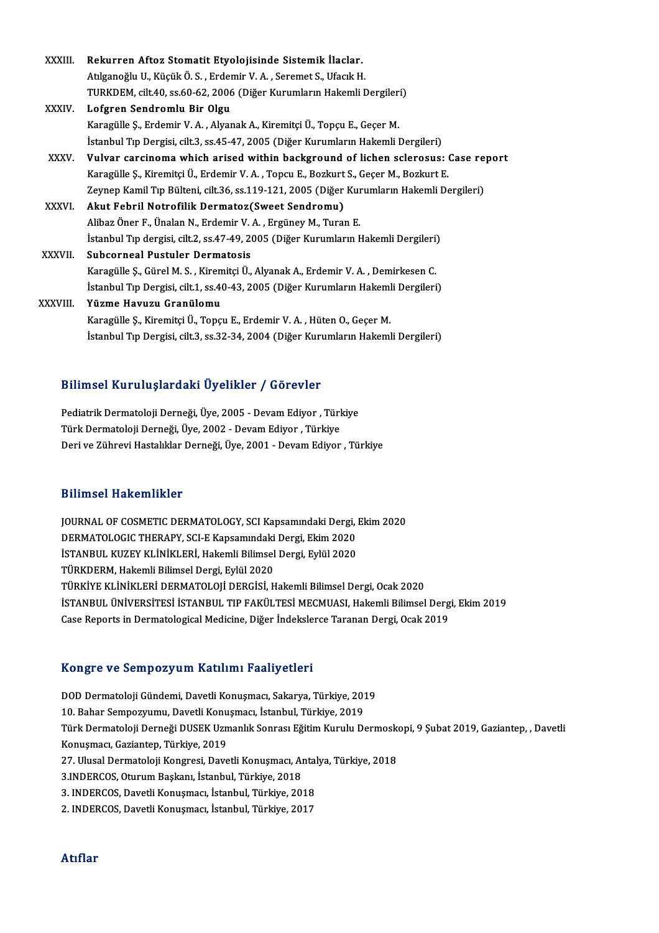| XXXIII.      | Rekurren Aftoz Stomatit Etyolojisinde Sistemik İlaclar.                                  |
|--------------|------------------------------------------------------------------------------------------|
|              | Atılganoğlu U., Küçük Ö. S., Erdemir V. A., Seremet S., Ufacık H.                        |
|              | TURKDEM, cilt.40, ss.60-62, 2006 (Diğer Kurumların Hakemli Dergileri)                    |
| <b>XXXIV</b> | Lofgren Sendromlu Bir Olgu                                                               |
|              | Karagülle Ş., Erdemir V. A., Alyanak A., Kiremitçi Ü., Topçu E., Geçer M.                |
|              | İstanbul Tıp Dergisi, cilt.3, ss.45-47, 2005 (Diğer Kurumların Hakemli Dergileri)        |
| XXXV.        | Vulvar carcinoma which arised within background of lichen sclerosus: Case report         |
|              | Karagülle Ş., Kiremitçi Ü., Erdemir V. A., Topcu E., Bozkurt S., Geçer M., Bozkurt E.    |
|              | Zeynep Kamil Tıp Bülteni, cilt.36, ss.119-121, 2005 (Diğer Kurumların Hakemli Dergileri) |
| <b>XXXVI</b> | Akut Febril Notrofilik Dermatoz(Sweet Sendromu)                                          |
|              | Alibaz Öner F., Ünalan N., Erdemir V. A., Ergüney M., Turan E.                           |
|              | İstanbul Tıp dergisi, cilt.2, ss.47-49, 2005 (Diğer Kurumların Hakemli Dergileri)        |
| XXXVII.      | <b>Subcorneal Pustuler Dermatosis</b>                                                    |
|              | Karagülle Ş., Gürel M. S., Kiremitçi Ü., Alyanak A., Erdemir V. A., Demirkesen C.        |
|              | İstanbul Tıp Dergisi, cilt.1, ss.40-43, 2005 (Diğer Kurumların Hakemli Dergileri)        |
| XXXVIII.     | Yüzme Havuzu Granülomu                                                                   |
|              | Karagülle Ş., Kiremitçi Ü., Topçu E., Erdemir V. A., Hüten O., Geçer M.                  |
|              | İstanbul Tıp Dergisi, cilt.3, ss.32-34, 2004 (Diğer Kurumların Hakemli Dergileri)        |

### Bilimsel KuruluşlardakiÜyelikler / Görevler

Bilimsel Kuruluşlardaki Üyelikler / Görevler<br>Pediatrik Dermatoloji Derneği, Üye, 2005 - Devam Ediyor , Türkiye<br>Türk Dermatoloji Derneği, Üye, 2002 - Devam Ediyor , Türkiye TürkDer Türk Lidyar darif Oyorinici († 2010)<br>Pediatrik Dermatoloji Derneği, Üye, 2005 - Devam Ediyor , Türk<br>Türk Dermatoloji Derneği, Üye, 2002 - Devam Ediyor , Türkiye<br>Deri ve Zührevi Hestelliler Derneği, Üye, 2001 - Deva Türk Dermatoloji Derneği, Üye, 2002 - Devam Ediyor , Türkiye<br>Deri ve Zührevi Hastalıklar Derneği, Üye, 2001 - Devam Ediyor , Türkiye

### Bilimsel Hakemlikler

JOURNAL OF COSMETIC DERMATOLOGY, SCI Kapsamındaki Dergi, Ekim 2020 DAAMBUA AMANDAANATOLOGICA<br>JOURNAL OF COSMETIC DERMATOLOGY, SCI Kapsamındaki Dergi, .<br>DERMATOLOGIC THERAPY, SCI-E Kapsamındaki Dergi, Ekim 2020<br>İSTANPUL KUZEV KLİNİKLERİ, Holomli Bilimaal Dargi, Eylül 2020 İSTANBUL KUZEY KLİNİKLERİ, Hakemli Bilimsel Dergi, Eylül 2020<br>TÜRKDERM, Hakemli Bilimsel Dergi, Eylül 2020 DERMATOLOGIC THERAPY, SCI-E Kapsamındaki<br>İSTANBUL KUZEY KLİNİKLERİ, Hakemli Bilimsel<br>TÜRKDERM, Hakemli Bilimsel Dergi, Eylül 2020<br>TÜRKUE ELİNİKLERİ DERMATOLOJİ DERÇİSİ. H TÜRKİYE KLİNİKLERİ DERMATOLOJİ DERGİSİ, Hakemli Bilimsel Dergi, Ocak 2020 İSTANBULÜNİVERSİTESİ İSTANBUL TIPFAKÜLTESİMECMUASI,HakemliBilimselDergi,Ekim2019 Case Reports in Dermatological Medicine, Diğer İndekslerce Taranan Dergi, Ocak 2019

### Kongre ve SempozyumKatılımı Faaliyetleri

K<mark>ongre ve Sempozyum Katılımı Faaliyetleri</mark><br>DOD Dermatoloji Gündemi, Davetli Konuşmacı, Sakarya, Türkiye, 2019<br>10 Behar Sempermumu Davetli Konusmacı, İstanbul Türkiye, 2019 10.Bahar Sempozyum Tratifilmi Tuafiyotlofi<br>10.Bahar Sempozyumu, Davetli Konuşmacı, Sakarya, Türkiye, 201<br>Türk Dermatalaji Derneği DUSEK Uzmanlık Sanrası Eğitim Kurulu D DOD Dermatoloji Gündemi, Davetli Konuşmacı, Sakarya, Türkiye, 2019<br>10. Bahar Sempozyumu, Davetli Konuşmacı, İstanbul, Türkiye, 2019<br>Türk Dermatoloji Derneği DUSEK Uzmanlık Sonrası Eğitim Kurulu Dermoskopi, 9 Şubat 2019, Ga 10. Bahar Sempozyumu, Davetli Konuşmacı, İstanbul, Türkiye, 2019<br>Türk Dermatoloji Derneği DUSEK Uzmanlık Sonrası Eğitim Kurulu D<br>Konuşmacı, Gaziantep, Türkiye, 2019 Türk Dermatoloji Derneği DUSEK Uzmanlık Sonrası Eğitim Kurulu Dermosk<br>Konuşmacı, Gaziantep, Türkiye, 2019<br>27. Ulusal Dermatoloji Kongresi, Davetli Konuşmacı, Antalya, Türkiye, 2018<br>2. INDERCOS, Otunum Baskanı, İstanbul, Tü Konuşmacı, Gaziantep, Türkiye, 2019<br>27. Ulusal Dermatoloji Kongresi, Davetli Konuşmacı, Aı<br>3.INDERCOS, Oturum Başkanı, İstanbul, Türkiye, 2018<br>2. INDERCOS, Davetli Konusması, İstanbul, Türkiye, 20 27. Ulusal Dermatoloji Kongresi, Davetli Konuşmacı, Antal<br>3.INDERCOS, Oturum Başkanı, İstanbul, Türkiye, 2018<br>3. INDERCOS, Davetli Konuşmacı, İstanbul, Türkiye, 2018<br>2. INDERCOS, Davetli Konuşmacı, İstanbul, Türkiye, 2017 3.INDERCOS, Oturum Başkanı, İstanbul, Türkiye, 2018<br>3. INDERCOS, Davetli Konuşmacı, İstanbul, Türkiye, 2018<br>2. INDERCOS, Davetli Konuşmacı, İstanbul, Türkiye, 2017

### Atıflar